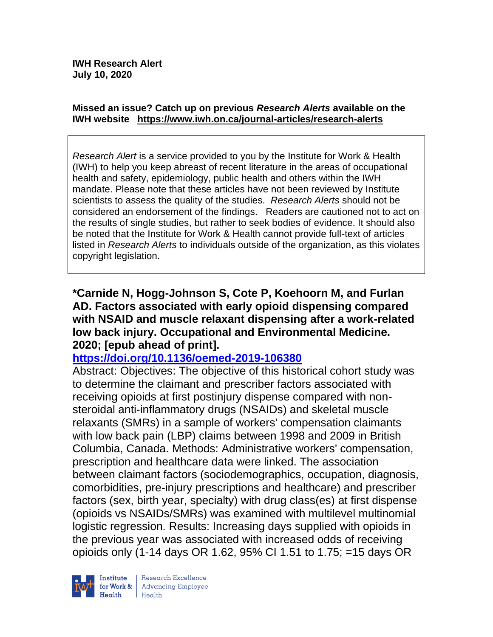#### **Missed an issue? Catch up on previous** *Research Alerts* **available on the [IWH website](http://www.iwh.on.ca/research-alerts) <https://www.iwh.on.ca/journal-articles/research-alerts>**

*Research Alert* is a service provided to you by the Institute for Work & Health (IWH) to help you keep abreast of recent literature in the areas of occupational health and safety, epidemiology, public health and others within the IWH mandate. Please note that these articles have not been reviewed by Institute scientists to assess the quality of the studies. *Research Alerts* should not be considered an endorsement of the findings. Readers are cautioned not to act on the results of single studies, but rather to seek bodies of evidence. It should also be noted that the Institute for Work & Health cannot provide full-text of articles listed in *Research Alerts* to individuals outside of the organization, as this violates copyright legislation.

**\*Carnide N, Hogg-Johnson S, Cote P, Koehoorn M, and Furlan AD. Factors associated with early opioid dispensing compared with NSAID and muscle relaxant dispensing after a work-related low back injury. Occupational and Environmental Medicine. 2020; [epub ahead of print].**

#### **<https://doi.org/10.1136/oemed-2019-106380>**

Abstract: Objectives: The objective of this historical cohort study was to determine the claimant and prescriber factors associated with receiving opioids at first postinjury dispense compared with nonsteroidal anti-inflammatory drugs (NSAIDs) and skeletal muscle relaxants (SMRs) in a sample of workers' compensation claimants with low back pain (LBP) claims between 1998 and 2009 in British Columbia, Canada. Methods: Administrative workers' compensation, prescription and healthcare data were linked. The association between claimant factors (sociodemographics, occupation, diagnosis, comorbidities, pre-injury prescriptions and healthcare) and prescriber factors (sex, birth year, specialty) with drug class(es) at first dispense (opioids vs NSAIDs/SMRs) was examined with multilevel multinomial logistic regression. Results: Increasing days supplied with opioids in the previous year was associated with increased odds of receiving opioids only (1-14 days OR 1.62, 95% CI 1.51 to 1.75; =15 days OR

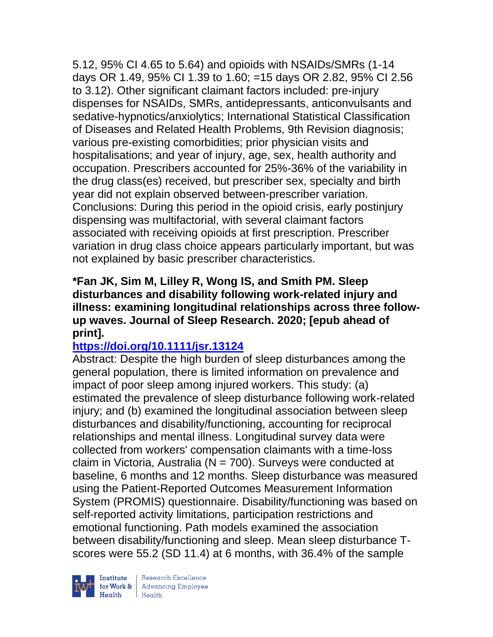5.12, 95% CI 4.65 to 5.64) and opioids with NSAIDs/SMRs (1-14 days OR 1.49, 95% CI 1.39 to 1.60; =15 days OR 2.82, 95% CI 2.56 to 3.12). Other significant claimant factors included: pre-injury dispenses for NSAIDs, SMRs, antidepressants, anticonvulsants and sedative-hypnotics/anxiolytics; International Statistical Classification of Diseases and Related Health Problems, 9th Revision diagnosis; various pre-existing comorbidities; prior physician visits and hospitalisations; and year of injury, age, sex, health authority and occupation. Prescribers accounted for 25%-36% of the variability in the drug class(es) received, but prescriber sex, specialty and birth year did not explain observed between-prescriber variation. Conclusions: During this period in the opioid crisis, early postinjury dispensing was multifactorial, with several claimant factors associated with receiving opioids at first prescription. Prescriber variation in drug class choice appears particularly important, but was not explained by basic prescriber characteristics.

### **\*Fan JK, Sim M, Lilley R, Wong IS, and Smith PM. Sleep disturbances and disability following work-related injury and illness: examining longitudinal relationships across three followup waves. Journal of Sleep Research. 2020; [epub ahead of print].**

# **<https://doi.org/10.1111/jsr.13124>**

Abstract: Despite the high burden of sleep disturbances among the general population, there is limited information on prevalence and impact of poor sleep among injured workers. This study: (a) estimated the prevalence of sleep disturbance following work-related injury; and (b) examined the longitudinal association between sleep disturbances and disability/functioning, accounting for reciprocal relationships and mental illness. Longitudinal survey data were collected from workers' compensation claimants with a time-loss claim in Victoria, Australia ( $N = 700$ ). Surveys were conducted at baseline, 6 months and 12 months. Sleep disturbance was measured using the Patient-Reported Outcomes Measurement Information System (PROMIS) questionnaire. Disability/functioning was based on self-reported activity limitations, participation restrictions and emotional functioning. Path models examined the association between disability/functioning and sleep. Mean sleep disturbance Tscores were 55.2 (SD 11.4) at 6 months, with 36.4% of the sample



 $\begin{tabular}{|l|} Institute & Research Excellence \\ \hline for Work & Advancing Employee \\ Health & Health \\ \end{tabular}$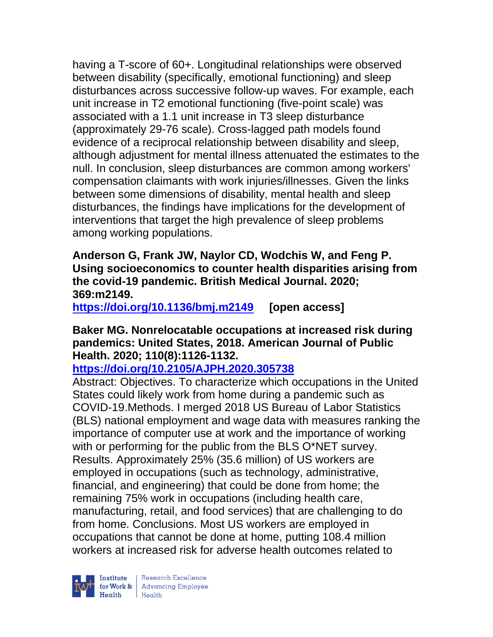having a T-score of 60+. Longitudinal relationships were observed between disability (specifically, emotional functioning) and sleep disturbances across successive follow-up waves. For example, each unit increase in T2 emotional functioning (five-point scale) was associated with a 1.1 unit increase in T3 sleep disturbance (approximately 29-76 scale). Cross-lagged path models found evidence of a reciprocal relationship between disability and sleep, although adjustment for mental illness attenuated the estimates to the null. In conclusion, sleep disturbances are common among workers' compensation claimants with work injuries/illnesses. Given the links between some dimensions of disability, mental health and sleep disturbances, the findings have implications for the development of interventions that target the high prevalence of sleep problems among working populations.

**Anderson G, Frank JW, Naylor CD, Wodchis W, and Feng P. Using socioeconomics to counter health disparities arising from the covid-19 pandemic. British Medical Journal. 2020; 369:m2149.**

**<https://doi.org/10.1136/bmj.m2149> [open access]**

**Baker MG. Nonrelocatable occupations at increased risk during pandemics: United States, 2018. American Journal of Public Health. 2020; 110(8):1126-1132.** 

## **<https://doi.org/10.2105/AJPH.2020.305738>**

Abstract: Objectives. To characterize which occupations in the United States could likely work from home during a pandemic such as COVID-19.Methods. I merged 2018 US Bureau of Labor Statistics (BLS) national employment and wage data with measures ranking the importance of computer use at work and the importance of working with or performing for the public from the BLS O\*NET survey. Results. Approximately 25% (35.6 million) of US workers are employed in occupations (such as technology, administrative, financial, and engineering) that could be done from home; the remaining 75% work in occupations (including health care, manufacturing, retail, and food services) that are challenging to do from home. Conclusions. Most US workers are employed in occupations that cannot be done at home, putting 108.4 million workers at increased risk for adverse health outcomes related to

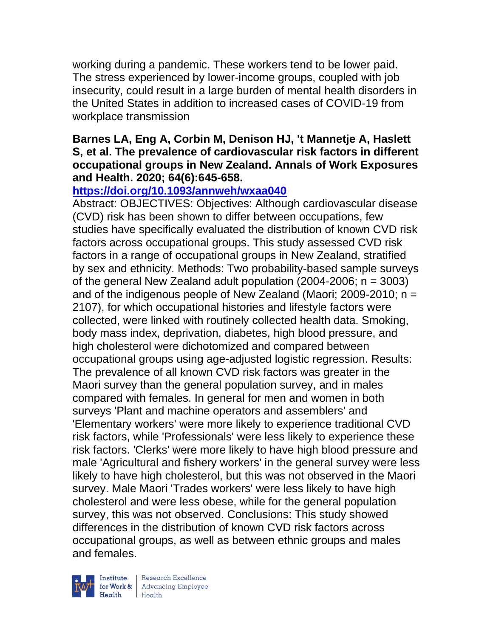working during a pandemic. These workers tend to be lower paid. The stress experienced by lower-income groups, coupled with job insecurity, could result in a large burden of mental health disorders in the United States in addition to increased cases of COVID-19 from workplace transmission

#### **Barnes LA, Eng A, Corbin M, Denison HJ, 't Mannetje A, Haslett S, et al. The prevalence of cardiovascular risk factors in different occupational groups in New Zealand. Annals of Work Exposures and Health. 2020; 64(6):645-658.**

## **<https://doi.org/10.1093/annweh/wxaa040>**

Abstract: OBJECTIVES: Objectives: Although cardiovascular disease (CVD) risk has been shown to differ between occupations, few studies have specifically evaluated the distribution of known CVD risk factors across occupational groups. This study assessed CVD risk factors in a range of occupational groups in New Zealand, stratified by sex and ethnicity. Methods: Two probability-based sample surveys of the general New Zealand adult population  $(2004-2006; n = 3003)$ and of the indigenous people of New Zealand (Maori; 2009-2010;  $n =$ 2107), for which occupational histories and lifestyle factors were collected, were linked with routinely collected health data. Smoking, body mass index, deprivation, diabetes, high blood pressure, and high cholesterol were dichotomized and compared between occupational groups using age-adjusted logistic regression. Results: The prevalence of all known CVD risk factors was greater in the Maori survey than the general population survey, and in males compared with females. In general for men and women in both surveys 'Plant and machine operators and assemblers' and 'Elementary workers' were more likely to experience traditional CVD risk factors, while 'Professionals' were less likely to experience these risk factors. 'Clerks' were more likely to have high blood pressure and male 'Agricultural and fishery workers' in the general survey were less likely to have high cholesterol, but this was not observed in the Maori survey. Male Maori 'Trades workers' were less likely to have high cholesterol and were less obese, while for the general population survey, this was not observed. Conclusions: This study showed differences in the distribution of known CVD risk factors across occupational groups, as well as between ethnic groups and males and females.



| Research Excellence for Work & Advancing Employee<br>Health Health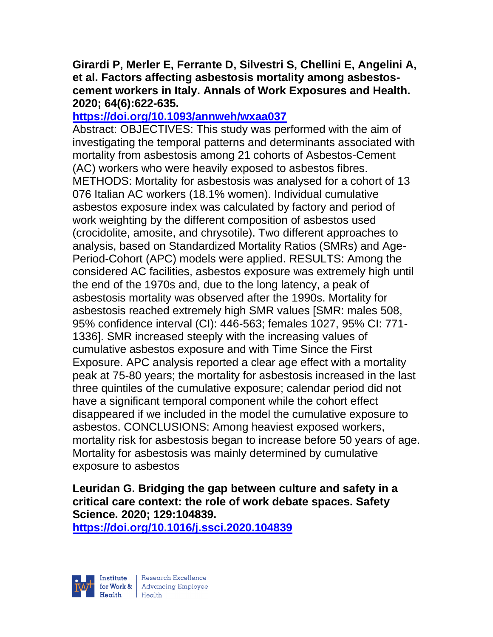#### **Girardi P, Merler E, Ferrante D, Silvestri S, Chellini E, Angelini A, et al. Factors affecting asbestosis mortality among asbestoscement workers in Italy. Annals of Work Exposures and Health. 2020; 64(6):622-635.**

#### **<https://doi.org/10.1093/annweh/wxaa037>**

Abstract: OBJECTIVES: This study was performed with the aim of investigating the temporal patterns and determinants associated with mortality from asbestosis among 21 cohorts of Asbestos-Cement (AC) workers who were heavily exposed to asbestos fibres. METHODS: Mortality for asbestosis was analysed for a cohort of 13 076 Italian AC workers (18.1% women). Individual cumulative asbestos exposure index was calculated by factory and period of work weighting by the different composition of asbestos used (crocidolite, amosite, and chrysotile). Two different approaches to analysis, based on Standardized Mortality Ratios (SMRs) and Age-Period-Cohort (APC) models were applied. RESULTS: Among the considered AC facilities, asbestos exposure was extremely high until the end of the 1970s and, due to the long latency, a peak of asbestosis mortality was observed after the 1990s. Mortality for asbestosis reached extremely high SMR values [SMR: males 508, 95% confidence interval (CI): 446-563; females 1027, 95% CI: 771- 1336]. SMR increased steeply with the increasing values of cumulative asbestos exposure and with Time Since the First Exposure. APC analysis reported a clear age effect with a mortality peak at 75-80 years; the mortality for asbestosis increased in the last three quintiles of the cumulative exposure; calendar period did not have a significant temporal component while the cohort effect disappeared if we included in the model the cumulative exposure to asbestos. CONCLUSIONS: Among heaviest exposed workers, mortality risk for asbestosis began to increase before 50 years of age. Mortality for asbestosis was mainly determined by cumulative exposure to asbestos

**Leuridan G. Bridging the gap between culture and safety in a critical care context: the role of work debate spaces. Safety Science. 2020; 129:104839.**

**<https://doi.org/10.1016/j.ssci.2020.104839>** 

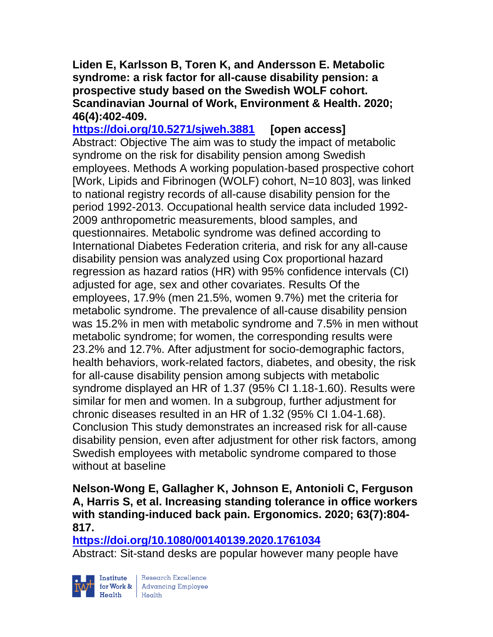**Liden E, Karlsson B, Toren K, and Andersson E. Metabolic syndrome: a risk factor for all-cause disability pension: a prospective study based on the Swedish WOLF cohort. Scandinavian Journal of Work, Environment & Health. 2020; 46(4):402-409.** 

**<https://doi.org/10.5271/sjweh.3881> [open access]** Abstract: Objective The aim was to study the impact of metabolic syndrome on the risk for disability pension among Swedish employees. Methods A working population-based prospective cohort [Work, Lipids and Fibrinogen (WOLF) cohort, N=10 803], was linked to national registry records of all-cause disability pension for the period 1992-2013. Occupational health service data included 1992- 2009 anthropometric measurements, blood samples, and questionnaires. Metabolic syndrome was defined according to International Diabetes Federation criteria, and risk for any all-cause disability pension was analyzed using Cox proportional hazard regression as hazard ratios (HR) with 95% confidence intervals (CI) adjusted for age, sex and other covariates. Results Of the employees, 17.9% (men 21.5%, women 9.7%) met the criteria for metabolic syndrome. The prevalence of all-cause disability pension was 15.2% in men with metabolic syndrome and 7.5% in men without metabolic syndrome; for women, the corresponding results were 23.2% and 12.7%. After adjustment for socio-demographic factors, health behaviors, work-related factors, diabetes, and obesity, the risk for all-cause disability pension among subjects with metabolic syndrome displayed an HR of 1.37 (95% CI 1.18-1.60). Results were similar for men and women. In a subgroup, further adjustment for chronic diseases resulted in an HR of 1.32 (95% CI 1.04-1.68). Conclusion This study demonstrates an increased risk for all-cause disability pension, even after adjustment for other risk factors, among Swedish employees with metabolic syndrome compared to those without at baseline

### **Nelson-Wong E, Gallagher K, Johnson E, Antonioli C, Ferguson A, Harris S, et al. Increasing standing tolerance in office workers with standing-induced back pain. Ergonomics. 2020; 63(7):804- 817.**

**<https://doi.org/10.1080/00140139.2020.1761034>** 

Abstract: Sit-stand desks are popular however many people have



| Research Excellence Institute Research Excellence<br>
for Work & Advancing Employee<br>
Health Health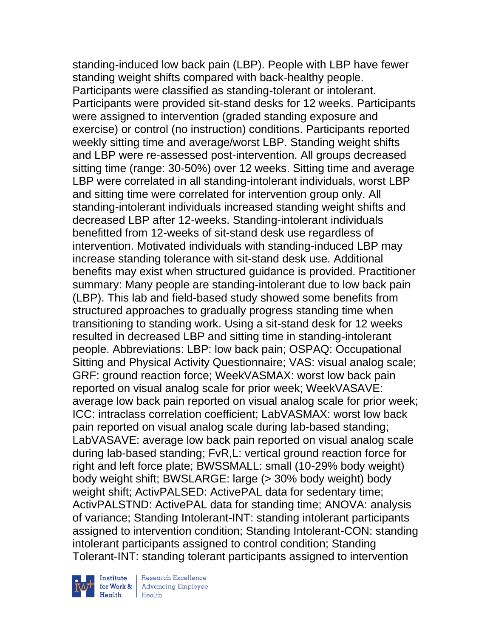standing-induced low back pain (LBP). People with LBP have fewer standing weight shifts compared with back-healthy people. Participants were classified as standing-tolerant or intolerant. Participants were provided sit-stand desks for 12 weeks. Participants were assigned to intervention (graded standing exposure and exercise) or control (no instruction) conditions. Participants reported weekly sitting time and average/worst LBP. Standing weight shifts and LBP were re-assessed post-intervention. All groups decreased sitting time (range: 30-50%) over 12 weeks. Sitting time and average LBP were correlated in all standing-intolerant individuals, worst LBP and sitting time were correlated for intervention group only. All standing-intolerant individuals increased standing weight shifts and decreased LBP after 12-weeks. Standing-intolerant individuals benefitted from 12-weeks of sit-stand desk use regardless of intervention. Motivated individuals with standing-induced LBP may increase standing tolerance with sit-stand desk use. Additional benefits may exist when structured guidance is provided. Practitioner summary: Many people are standing-intolerant due to low back pain (LBP). This lab and field-based study showed some benefits from structured approaches to gradually progress standing time when transitioning to standing work. Using a sit-stand desk for 12 weeks resulted in decreased LBP and sitting time in standing-intolerant people. Abbreviations: LBP: low back pain; OSPAQ: Occupational Sitting and Physical Activity Questionnaire; VAS: visual analog scale; GRF: ground reaction force; WeekVASMAX: worst low back pain reported on visual analog scale for prior week; WeekVASAVE: average low back pain reported on visual analog scale for prior week; ICC: intraclass correlation coefficient; LabVASMAX: worst low back pain reported on visual analog scale during lab-based standing; LabVASAVE: average low back pain reported on visual analog scale during lab-based standing; FvR,L: vertical ground reaction force for right and left force plate; BWSSMALL: small (10-29% body weight) body weight shift; BWSLARGE: large (> 30% body weight) body weight shift; ActivPALSED: ActivePAL data for sedentary time; ActivPALSTND: ActivePAL data for standing time; ANOVA: analysis of variance; Standing Intolerant-INT: standing intolerant participants assigned to intervention condition; Standing Intolerant-CON: standing intolerant participants assigned to control condition; Standing Tolerant-INT: standing tolerant participants assigned to intervention



Institute Research Excellence<br>
for Work & Advancing Employee<br>
Health Health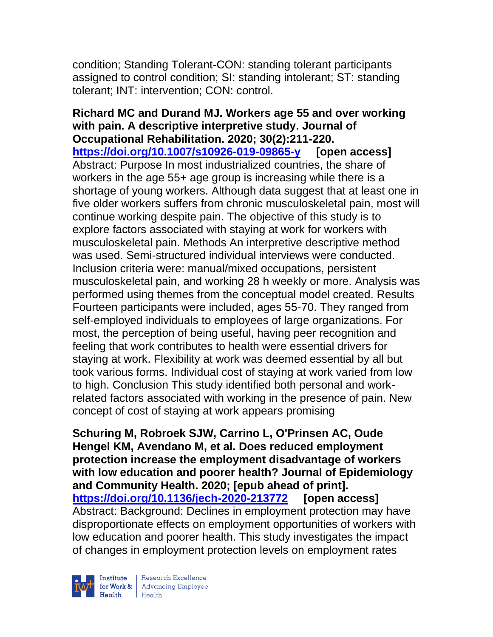condition; Standing Tolerant-CON: standing tolerant participants assigned to control condition; SI: standing intolerant; ST: standing tolerant; INT: intervention; CON: control.

**Richard MC and Durand MJ. Workers age 55 and over working with pain. A descriptive interpretive study. Journal of Occupational Rehabilitation. 2020; 30(2):211-220. <https://doi.org/10.1007/s10926-019-09865-y> [open access]** Abstract: Purpose In most industrialized countries, the share of workers in the age 55+ age group is increasing while there is a shortage of young workers. Although data suggest that at least one in five older workers suffers from chronic musculoskeletal pain, most will continue working despite pain. The objective of this study is to explore factors associated with staying at work for workers with musculoskeletal pain. Methods An interpretive descriptive method was used. Semi-structured individual interviews were conducted. Inclusion criteria were: manual/mixed occupations, persistent musculoskeletal pain, and working 28 h weekly or more. Analysis was performed using themes from the conceptual model created. Results Fourteen participants were included, ages 55-70. They ranged from self-employed individuals to employees of large organizations. For most, the perception of being useful, having peer recognition and feeling that work contributes to health were essential drivers for staying at work. Flexibility at work was deemed essential by all but took various forms. Individual cost of staying at work varied from low to high. Conclusion This study identified both personal and workrelated factors associated with working in the presence of pain. New concept of cost of staying at work appears promising

**Schuring M, Robroek SJW, Carrino L, O'Prinsen AC, Oude Hengel KM, Avendano M, et al. Does reduced employment protection increase the employment disadvantage of workers with low education and poorer health? Journal of Epidemiology and Community Health. 2020; [epub ahead of print]. <https://doi.org/10.1136/jech-2020-213772> [open access]** Abstract: Background: Declines in employment protection may have disproportionate effects on employment opportunities of workers with low education and poorer health. This study investigates the impact of changes in employment protection levels on employment rates



| Research Excellence for Work & Advancing Employee<br>Health Health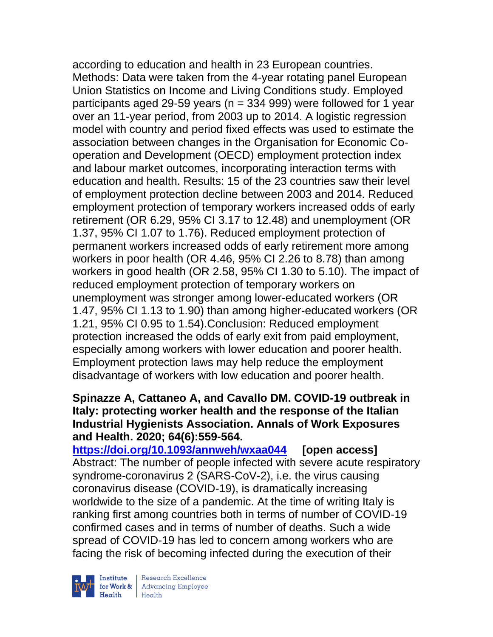according to education and health in 23 European countries. Methods: Data were taken from the 4-year rotating panel European Union Statistics on Income and Living Conditions study. Employed participants aged 29-59 years ( $n = 334$  999) were followed for 1 year over an 11-year period, from 2003 up to 2014. A logistic regression model with country and period fixed effects was used to estimate the association between changes in the Organisation for Economic Cooperation and Development (OECD) employment protection index and labour market outcomes, incorporating interaction terms with education and health. Results: 15 of the 23 countries saw their level of employment protection decline between 2003 and 2014. Reduced employment protection of temporary workers increased odds of early retirement (OR 6.29, 95% CI 3.17 to 12.48) and unemployment (OR 1.37, 95% CI 1.07 to 1.76). Reduced employment protection of permanent workers increased odds of early retirement more among workers in poor health (OR 4.46, 95% CI 2.26 to 8.78) than among workers in good health (OR 2.58, 95% CI 1.30 to 5.10). The impact of reduced employment protection of temporary workers on unemployment was stronger among lower-educated workers (OR 1.47, 95% CI 1.13 to 1.90) than among higher-educated workers (OR 1.21, 95% CI 0.95 to 1.54).Conclusion: Reduced employment protection increased the odds of early exit from paid employment, especially among workers with lower education and poorer health. Employment protection laws may help reduce the employment disadvantage of workers with low education and poorer health.

#### **Spinazze A, Cattaneo A, and Cavallo DM. COVID-19 outbreak in Italy: protecting worker health and the response of the Italian Industrial Hygienists Association. Annals of Work Exposures and Health. 2020; 64(6):559-564.**

**<https://doi.org/10.1093/annweh/wxaa044> [open access]** Abstract: The number of people infected with severe acute respiratory syndrome-coronavirus 2 (SARS-CoV-2), i.e. the virus causing coronavirus disease (COVID-19), is dramatically increasing worldwide to the size of a pandemic. At the time of writing Italy is ranking first among countries both in terms of number of COVID-19 confirmed cases and in terms of number of deaths. Such a wide spread of COVID-19 has led to concern among workers who are facing the risk of becoming infected during the execution of their



Research Excellence for Work & | Advancing Employee Health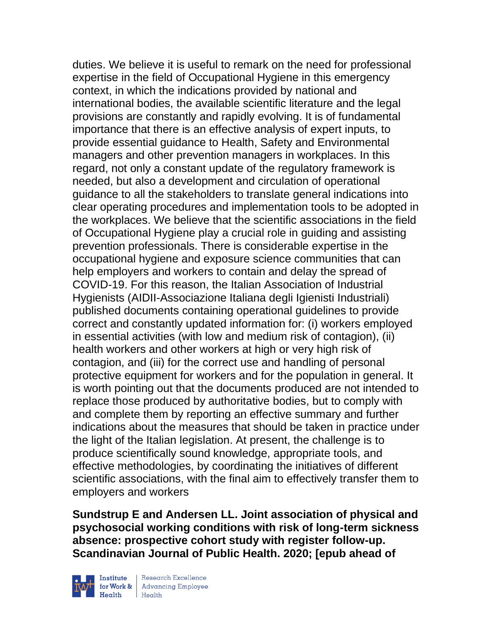duties. We believe it is useful to remark on the need for professional expertise in the field of Occupational Hygiene in this emergency context, in which the indications provided by national and international bodies, the available scientific literature and the legal provisions are constantly and rapidly evolving. It is of fundamental importance that there is an effective analysis of expert inputs, to provide essential guidance to Health, Safety and Environmental managers and other prevention managers in workplaces. In this regard, not only a constant update of the regulatory framework is needed, but also a development and circulation of operational guidance to all the stakeholders to translate general indications into clear operating procedures and implementation tools to be adopted in the workplaces. We believe that the scientific associations in the field of Occupational Hygiene play a crucial role in guiding and assisting prevention professionals. There is considerable expertise in the occupational hygiene and exposure science communities that can help employers and workers to contain and delay the spread of COVID-19. For this reason, the Italian Association of Industrial Hygienists (AIDII-Associazione Italiana degli Igienisti Industriali) published documents containing operational guidelines to provide correct and constantly updated information for: (i) workers employed in essential activities (with low and medium risk of contagion), (ii) health workers and other workers at high or very high risk of contagion, and (iii) for the correct use and handling of personal protective equipment for workers and for the population in general. It is worth pointing out that the documents produced are not intended to replace those produced by authoritative bodies, but to comply with and complete them by reporting an effective summary and further indications about the measures that should be taken in practice under the light of the Italian legislation. At present, the challenge is to produce scientifically sound knowledge, appropriate tools, and effective methodologies, by coordinating the initiatives of different scientific associations, with the final aim to effectively transfer them to employers and workers

**Sundstrup E and Andersen LL. Joint association of physical and psychosocial working conditions with risk of long-term sickness absence: prospective cohort study with register follow-up. Scandinavian Journal of Public Health. 2020; [epub ahead of** 



| Research Excellence Finantium Research Excellence<br>
Finantium Research Employee<br>
Realth Health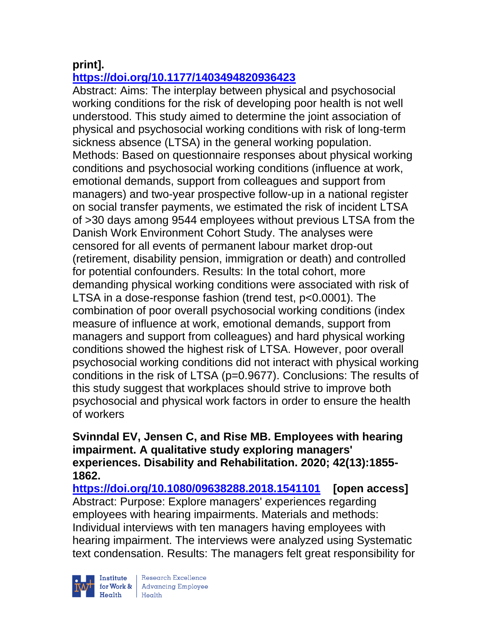# **print].**

# **<https://doi.org/10.1177/1403494820936423>**

Abstract: Aims: The interplay between physical and psychosocial working conditions for the risk of developing poor health is not well understood. This study aimed to determine the joint association of physical and psychosocial working conditions with risk of long-term sickness absence (LTSA) in the general working population. Methods: Based on questionnaire responses about physical working conditions and psychosocial working conditions (influence at work, emotional demands, support from colleagues and support from managers) and two-year prospective follow-up in a national register on social transfer payments, we estimated the risk of incident LTSA of >30 days among 9544 employees without previous LTSA from the Danish Work Environment Cohort Study. The analyses were censored for all events of permanent labour market drop-out (retirement, disability pension, immigration or death) and controlled for potential confounders. Results: In the total cohort, more demanding physical working conditions were associated with risk of LTSA in a dose-response fashion (trend test, p<0.0001). The combination of poor overall psychosocial working conditions (index measure of influence at work, emotional demands, support from managers and support from colleagues) and hard physical working conditions showed the highest risk of LTSA. However, poor overall psychosocial working conditions did not interact with physical working conditions in the risk of LTSA (p=0.9677). Conclusions: The results of this study suggest that workplaces should strive to improve both psychosocial and physical work factors in order to ensure the health of workers

#### **Svinndal EV, Jensen C, and Rise MB. Employees with hearing impairment. A qualitative study exploring managers' experiences. Disability and Rehabilitation. 2020; 42(13):1855- 1862.**

**<https://doi.org/10.1080/09638288.2018.1541101> [open access]**  Abstract: Purpose: Explore managers' experiences regarding employees with hearing impairments. Materials and methods: Individual interviews with ten managers having employees with hearing impairment. The interviews were analyzed using Systematic text condensation. Results: The managers felt great responsibility for

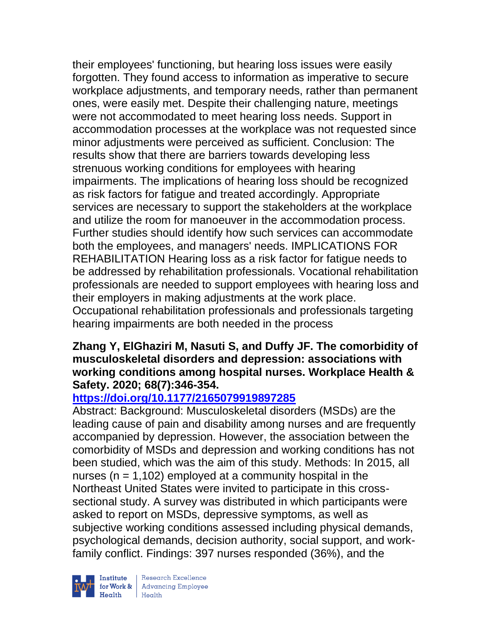their employees' functioning, but hearing loss issues were easily forgotten. They found access to information as imperative to secure workplace adjustments, and temporary needs, rather than permanent ones, were easily met. Despite their challenging nature, meetings were not accommodated to meet hearing loss needs. Support in accommodation processes at the workplace was not requested since minor adjustments were perceived as sufficient. Conclusion: The results show that there are barriers towards developing less strenuous working conditions for employees with hearing impairments. The implications of hearing loss should be recognized as risk factors for fatigue and treated accordingly. Appropriate services are necessary to support the stakeholders at the workplace and utilize the room for manoeuver in the accommodation process. Further studies should identify how such services can accommodate both the employees, and managers' needs. IMPLICATIONS FOR REHABILITATION Hearing loss as a risk factor for fatigue needs to be addressed by rehabilitation professionals. Vocational rehabilitation professionals are needed to support employees with hearing loss and their employers in making adjustments at the work place. Occupational rehabilitation professionals and professionals targeting hearing impairments are both needed in the process

#### **Zhang Y, ElGhaziri M, Nasuti S, and Duffy JF. The comorbidity of musculoskeletal disorders and depression: associations with working conditions among hospital nurses. Workplace Health & Safety. 2020; 68(7):346-354.**

## **<https://doi.org/10.1177/2165079919897285>**

Abstract: Background: Musculoskeletal disorders (MSDs) are the leading cause of pain and disability among nurses and are frequently accompanied by depression. However, the association between the comorbidity of MSDs and depression and working conditions has not been studied, which was the aim of this study. Methods: In 2015, all nurses ( $n = 1,102$ ) employed at a community hospital in the Northeast United States were invited to participate in this crosssectional study. A survey was distributed in which participants were asked to report on MSDs, depressive symptoms, as well as subjective working conditions assessed including physical demands, psychological demands, decision authority, social support, and workfamily conflict. Findings: 397 nurses responded (36%), and the



 $\begin{tabular}{|l|} Institute & Research Excellence \\ \hline for Work & Advancing Employee \\ Health & Health \\ \end{tabular}$